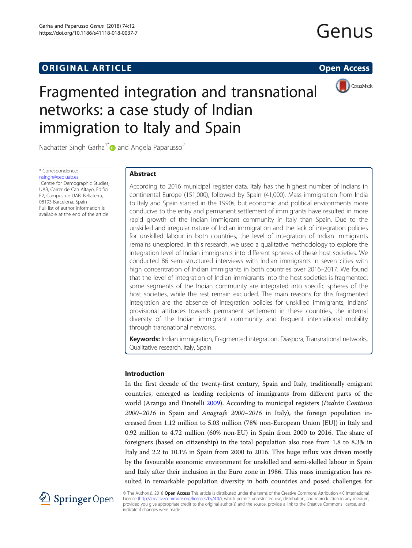# **ORIGINAL ARTICLE CONSERVANCE IN A LOCAL CONSERVANCE IN A LOCAL CONSERVANCE IN A LOCAL CONSERVANCE IN A LOCAL CONSERVANCE IN A LOCAL CONSERVANCE IN A LOCAL CONSERVANCE IN A LOCAL CONSERVANCE IN A LOCAL CONSERVANCE IN A L**



# Fragmented integration and transnational networks: a case study of Indian immigration to Italy and Spain

Nachatter Singh Garha<sup>1[\\*](http://orcid.org/0000-0002-4506-680X)</sup> and Angela Paparusso<sup>2</sup>

\* Correspondence: [nsingh@ced.uab.es](mailto:nsingh@ced.uab.es)

<sup>1</sup> Centre for Demographic Studies, UAB, Carrer de Can Altayo, Edifici E2, Campus de UAB, Bellaterra, 08193 Barcelona, Spain Full list of author information is available at the end of the article

# Abstract

According to 2016 municipal register data, Italy has the highest number of Indians in continental Europe (151,000), followed by Spain (41,000). Mass immigration from India to Italy and Spain started in the 1990s, but economic and political environments more conducive to the entry and permanent settlement of immigrants have resulted in more rapid growth of the Indian immigrant community in Italy than Spain. Due to the unskilled and irregular nature of Indian immigration and the lack of integration policies for unskilled labour in both countries, the level of integration of Indian immigrants remains unexplored. In this research, we used a qualitative methodology to explore the integration level of Indian immigrants into different spheres of these host societies. We conducted 86 semi-structured interviews with Indian immigrants in seven cities with high concentration of Indian immigrants in both countries over 2016–2017. We found that the level of integration of Indian immigrants into the host societies is fragmented: some segments of the Indian community are integrated into specific spheres of the host societies, while the rest remain excluded. The main reasons for this fragmented integration are the absence of integration policies for unskilled immigrants, Indians' provisional attitudes towards permanent settlement in these countries, the internal diversity of the Indian immigrant community and frequent international mobility through transnational networks.

Keywords: Indian immigration, Fragmented integration, Diaspora, Transnational networks, Qualitative research, Italy, Spain

## Introduction

In the first decade of the twenty-first century, Spain and Italy, traditionally emigrant countries, emerged as leading recipients of immigrants from different parts of the world (Arango and Finotelli [2009](#page-23-0)). According to municipal registers (Padrón Continuo 2000–2016 in Spain and Anagrafe 2000–2016 in Italy), the foreign population increased from 1.12 million to 5.03 million (78% non-European Union [EU]) in Italy and 0.92 million to 4.72 million (60% non-EU) in Spain from 2000 to 2016. The share of foreigners (based on citizenship) in the total population also rose from 1.8 to 8.3% in Italy and 2.2 to 10.1% in Spain from 2000 to 2016. This huge influx was driven mostly by the favourable economic environment for unskilled and semi-skilled labour in Spain and Italy after their inclusion in the Euro zone in 1986. This mass immigration has resulted in remarkable population diversity in both countries and posed challenges for



© The Author(s). 2018 Open Access This article is distributed under the terms of the Creative Commons Attribution 4.0 International License [\(http://creativecommons.org/licenses/by/4.0/](http://creativecommons.org/licenses/by/4.0/)), which permits unrestricted use, distribution, and reproduction in any medium, provided you give appropriate credit to the original author(s) and the source, provide a link to the Creative Commons license, and indicate if changes were made.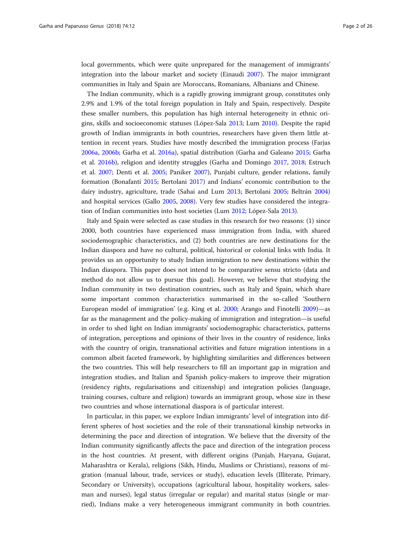local governments, which were quite unprepared for the management of immigrants' integration into the labour market and society (Einaudi [2007\)](#page-23-0). The major immigrant communities in Italy and Spain are Moroccans, Romanians, Albanians and Chinese.

The Indian community, which is a rapidly growing immigrant group, constitutes only 2.9% and 1.9% of the total foreign population in Italy and Spain, respectively. Despite these smaller numbers, this population has high internal heterogeneity in ethnic origins, skills and socioeconomic statuses (López-Sala [2013;](#page-24-0) Lum [2010\)](#page-24-0). Despite the rapid growth of Indian immigrants in both countries, researchers have given them little attention in recent years. Studies have mostly described the immigration process (Farjas [2006a,](#page-24-0) [2006b;](#page-24-0) Garha et al. [2016a\)](#page-24-0), spatial distribution (Garha and Galeano [2015](#page-24-0); Garha et al. [2016b](#page-24-0)), religion and identity struggles (Garha and Domingo [2017](#page-24-0), [2018;](#page-24-0) Estruch et al. [2007](#page-24-0); Denti et al. [2005](#page-23-0); Paniker [2007](#page-25-0)), Punjabi culture, gender relations, family formation (Bonafanti [2015](#page-23-0); Bertolani [2017\)](#page-23-0) and Indians' economic contribution to the dairy industry, agriculture, trade (Sahai and Lum [2013;](#page-25-0) Bertolani [2005](#page-23-0); Beltrán [2004](#page-23-0)) and hospital services (Gallo [2005,](#page-24-0) [2008\)](#page-24-0). Very few studies have considered the integration of Indian communities into host societies (Lum [2012](#page-24-0); López-Sala [2013](#page-24-0)).

Italy and Spain were selected as case studies in this research for two reasons: (1) since 2000, both countries have experienced mass immigration from India, with shared sociodemographic characteristics, and (2) both countries are new destinations for the Indian diaspora and have no cultural, political, historical or colonial links with India. It provides us an opportunity to study Indian immigration to new destinations within the Indian diaspora. This paper does not intend to be comparative sensu stricto (data and method do not allow us to pursue this goal). However, we believe that studying the Indian community in two destination countries, such as Italy and Spain, which share some important common characteristics summarised in the so-called 'Southern European model of immigration' (e.g. King et al. [2000;](#page-24-0) Arango and Finotelli [2009](#page-23-0))—as far as the management and the policy-making of immigration and integration—is useful in order to shed light on Indian immigrants' sociodemographic characteristics, patterns of integration, perceptions and opinions of their lives in the country of residence, links with the country of origin, transnational activities and future migration intentions in a common albeit faceted framework, by highlighting similarities and differences between the two countries. This will help researchers to fill an important gap in migration and integration studies, and Italian and Spanish policy-makers to improve their migration (residency rights, regularisations and citizenship) and integration policies (language, training courses, culture and religion) towards an immigrant group, whose size in these two countries and whose international diaspora is of particular interest.

In particular, in this paper, we explore Indian immigrants' level of integration into different spheres of host societies and the role of their transnational kinship networks in determining the pace and direction of integration. We believe that the diversity of the Indian community significantly affects the pace and direction of the integration process in the host countries. At present, with different origins (Punjab, Haryana, Gujarat, Maharashtra or Kerala), religions (Sikh, Hindu, Muslims or Christians), reasons of migration (manual labour, trade, services or study), education levels (Illiterate, Primary, Secondary or University), occupations (agricultural labour, hospitality workers, salesman and nurses), legal status (irregular or regular) and marital status (single or married), Indians make a very heterogeneous immigrant community in both countries.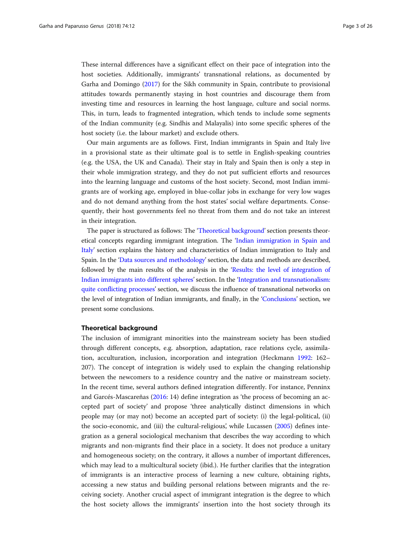<span id="page-2-0"></span>These internal differences have a significant effect on their pace of integration into the host societies. Additionally, immigrants' transnational relations, as documented by Garha and Domingo ([2017](#page-24-0)) for the Sikh community in Spain, contribute to provisional attitudes towards permanently staying in host countries and discourage them from investing time and resources in learning the host language, culture and social norms. This, in turn, leads to fragmented integration, which tends to include some segments of the Indian community (e.g. Sindhis and Malayalis) into some specific spheres of the host society (i.e. the labour market) and exclude others.

Our main arguments are as follows. First, Indian immigrants in Spain and Italy live in a provisional state as their ultimate goal is to settle in English-speaking countries (e.g. the USA, the UK and Canada). Their stay in Italy and Spain then is only a step in their whole immigration strategy, and they do not put sufficient efforts and resources into the learning language and customs of the host society. Second, most Indian immigrants are of working age, employed in blue-collar jobs in exchange for very low wages and do not demand anything from the host states' social welfare departments. Consequently, their host governments feel no threat from them and do not take an interest in their integration.

The paper is structured as follows: The 'Theoretical background' section presents theoretical concepts regarding immigrant integration. The '[Indian immigration in Spain and](#page-5-0) [Italy](#page-5-0)' section explains the history and characteristics of Indian immigration to Italy and Spain. In the '[Data sources and methodology](#page-7-0)' section, the data and methods are described, followed by the main results of the analysis in the '[Results: the level of integration of](#page-9-0) [Indian immigrants into different spheres](#page-9-0)' section. In the '[Integration and transnationalism:](#page-19-0) [quite conflicting processes](#page-19-0)' section, we discuss the influence of transnational networks on the level of integration of Indian immigrants, and finally, in the '[Conclusions](#page-21-0)' section, we present some conclusions.

#### Theoretical background

The inclusion of immigrant minorities into the mainstream society has been studied through different concepts, e.g. absorption, adaptation, race relations cycle, assimilation, acculturation, inclusion, incorporation and integration (Heckmann [1992:](#page-24-0) 162– 207). The concept of integration is widely used to explain the changing relationship between the newcomers to a residence country and the native or mainstream society. In the recent time, several authors defined integration differently. For instance, Penninx and Garcés-Mascareñas [\(2016:](#page-25-0) 14) define integration as 'the process of becoming an accepted part of society' and propose 'three analytically distinct dimensions in which people may (or may not) become an accepted part of society: (i) the legal-political, (ii) the socio-economic, and (iii) the cultural-religious', while Lucassen [\(2005\)](#page-24-0) defines integration as a general sociological mechanism that describes the way according to which migrants and non-migrants find their place in a society. It does not produce a unitary and homogeneous society; on the contrary, it allows a number of important differences, which may lead to a multicultural society (ibid.). He further clarifies that the integration of immigrants is an interactive process of learning a new culture, obtaining rights, accessing a new status and building personal relations between migrants and the receiving society. Another crucial aspect of immigrant integration is the degree to which the host society allows the immigrants' insertion into the host society through its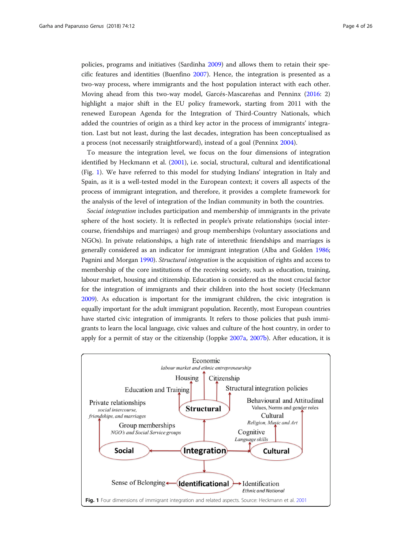policies, programs and initiatives (Sardinha [2009](#page-25-0)) and allows them to retain their specific features and identities (Buenfino [2007\)](#page-23-0). Hence, the integration is presented as a two-way process, where immigrants and the host population interact with each other. Moving ahead from this two-way model, Garcés-Mascareñas and Penninx [\(2016:](#page-24-0) 2) highlight a major shift in the EU policy framework, starting from 2011 with the renewed European Agenda for the Integration of Third-Country Nationals, which added the countries of origin as a third key actor in the process of immigrants' integration. Last but not least, during the last decades, integration has been conceptualised as a process (not necessarily straightforward), instead of a goal (Penninx [2004\)](#page-25-0).

To measure the integration level, we focus on the four dimensions of integration identified by Heckmann et al. [\(2001\)](#page-24-0), i.e. social, structural, cultural and identificational (Fig. 1). We have referred to this model for studying Indians' integration in Italy and Spain, as it is a well-tested model in the European context; it covers all aspects of the process of immigrant integration, and therefore, it provides a complete framework for the analysis of the level of integration of the Indian community in both the countries.

Social integration includes participation and membership of immigrants in the private sphere of the host society. It is reflected in people's private relationships (social intercourse, friendships and marriages) and group memberships (voluntary associations and NGOs). In private relationships, a high rate of interethnic friendships and marriages is generally considered as an indicator for immigrant integration (Alba and Golden [1986](#page-23-0); Pagnini and Morgan [1990\)](#page-25-0). Structural integration is the acquisition of rights and access to membership of the core institutions of the receiving society, such as education, training, labour market, housing and citizenship. Education is considered as the most crucial factor for the integration of immigrants and their children into the host society (Heckmann [2009\)](#page-24-0). As education is important for the immigrant children, the civic integration is equally important for the adult immigrant population. Recently, most European countries have started civic integration of immigrants. It refers to those policies that push immigrants to learn the local language, civic values and culture of the host country, in order to apply for a permit of stay or the citizenship (Joppke [2007a](#page-24-0), [2007b\)](#page-24-0). After education, it is

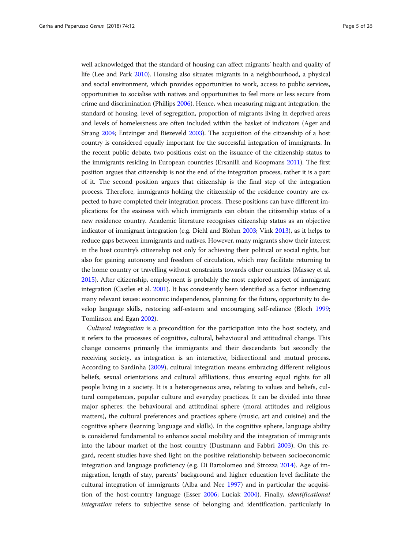well acknowledged that the standard of housing can affect migrants' health and quality of life (Lee and Park [2010\)](#page-24-0). Housing also situates migrants in a neighbourhood, a physical and social environment, which provides opportunities to work, access to public services, opportunities to socialise with natives and opportunities to feel more or less secure from crime and discrimination (Phillips [2006](#page-25-0)). Hence, when measuring migrant integration, the standard of housing, level of segregation, proportion of migrants living in deprived areas and levels of homelessness are often included within the basket of indicators (Ager and Strang [2004](#page-23-0); Entzinger and Biezeveld [2003](#page-24-0)). The acquisition of the citizenship of a host country is considered equally important for the successful integration of immigrants. In the recent public debate, two positions exist on the issuance of the citizenship status to the immigrants residing in European countries (Ersanilli and Koopmans [2011](#page-24-0)). The first position argues that citizenship is not the end of the integration process, rather it is a part of it. The second position argues that citizenship is the final step of the integration process. Therefore, immigrants holding the citizenship of the residence country are expected to have completed their integration process. These positions can have different implications for the easiness with which immigrants can obtain the citizenship status of a new residence country. Academic literature recognises citizenship status as an objective indicator of immigrant integration (e.g. Diehl and Blohm [2003](#page-23-0); Vink [2013](#page-25-0)), as it helps to reduce gaps between immigrants and natives. However, many migrants show their interest in the host country's citizenship not only for achieving their political or social rights, but also for gaining autonomy and freedom of circulation, which may facilitate returning to the home country or travelling without constraints towards other countries (Massey et al. [2015\)](#page-24-0). After citizenship, employment is probably the most explored aspect of immigrant integration (Castles et al. [2001\)](#page-23-0). It has consistently been identified as a factor influencing many relevant issues: economic independence, planning for the future, opportunity to develop language skills, restoring self-esteem and encouraging self-reliance (Bloch [1999](#page-23-0); Tomlinson and Egan [2002](#page-25-0)).

Cultural integration is a precondition for the participation into the host society, and it refers to the processes of cognitive, cultural, behavioural and attitudinal change. This change concerns primarily the immigrants and their descendants but secondly the receiving society, as integration is an interactive, bidirectional and mutual process. According to Sardinha ([2009](#page-25-0)), cultural integration means embracing different religious beliefs, sexual orientations and cultural affiliations, thus ensuring equal rights for all people living in a society. It is a heterogeneous area, relating to values and beliefs, cultural competences, popular culture and everyday practices. It can be divided into three major spheres: the behavioural and attitudinal sphere (moral attitudes and religious matters), the cultural preferences and practices sphere (music, art and cuisine) and the cognitive sphere (learning language and skills). In the cognitive sphere, language ability is considered fundamental to enhance social mobility and the integration of immigrants into the labour market of the host country (Dustmann and Fabbri [2003\)](#page-23-0). On this regard, recent studies have shed light on the positive relationship between socioeconomic integration and language proficiency (e.g. Di Bartolomeo and Strozza [2014\)](#page-23-0). Age of immigration, length of stay, parents' background and higher education level facilitate the cultural integration of immigrants (Alba and Nee [1997](#page-23-0)) and in particular the acquisition of the host-country language (Esser [2006](#page-24-0); Luciak [2004](#page-24-0)). Finally, identificational integration refers to subjective sense of belonging and identification, particularly in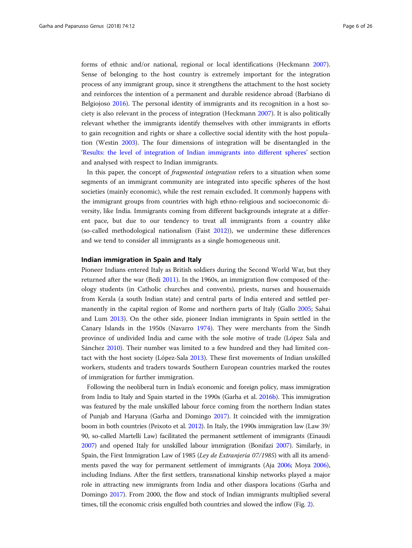<span id="page-5-0"></span>forms of ethnic and/or national, regional or local identifications (Heckmann [2007](#page-24-0)). Sense of belonging to the host country is extremely important for the integration process of any immigrant group, since it strengthens the attachment to the host society and reinforces the intention of a permanent and durable residence abroad (Barbiano di Belgiojoso [2016](#page-23-0)). The personal identity of immigrants and its recognition in a host society is also relevant in the process of integration (Heckmann [2007](#page-24-0)). It is also politically relevant whether the immigrants identify themselves with other immigrants in efforts to gain recognition and rights or share a collective social identity with the host population (Westin [2003\)](#page-25-0). The four dimensions of integration will be disentangled in the '[Results: the level of integration of Indian immigrants into different spheres](#page-9-0)' section and analysed with respect to Indian immigrants.

In this paper, the concept of fragmented integration refers to a situation when some segments of an immigrant community are integrated into specific spheres of the host societies (mainly economic), while the rest remain excluded. It commonly happens with the immigrant groups from countries with high ethno-religious and socioeconomic diversity, like India. Immigrants coming from different backgrounds integrate at a different pace, but due to our tendency to treat all immigrants from a country alike (so-called methodological nationalism (Faist [2012\)](#page-24-0)), we undermine these differences and we tend to consider all immigrants as a single homogeneous unit.

#### Indian immigration in Spain and Italy

Pioneer Indians entered Italy as British soldiers during the Second World War, but they returned after the war (Bedi [2011\)](#page-23-0). In the 1960s, an immigration flow composed of theology students (in Catholic churches and convents), priests, nurses and housemaids from Kerala (a south Indian state) and central parts of India entered and settled permanently in the capital region of Rome and northern parts of Italy (Gallo [2005](#page-24-0); Sahai and Lum [2013\)](#page-25-0). On the other side, pioneer Indian immigrants in Spain settled in the Canary Islands in the 1950s (Navarro [1974](#page-24-0)). They were merchants from the Sindh province of undivided India and came with the sole motive of trade (López Sala and Sánchez [2010\)](#page-24-0). Their number was limited to a few hundred and they had limited contact with the host society (López-Sala [2013\)](#page-24-0). These first movements of Indian unskilled workers, students and traders towards Southern European countries marked the routes of immigration for further immigration.

Following the neoliberal turn in India's economic and foreign policy, mass immigration from India to Italy and Spain started in the 1990s (Garha et al. [2016b\)](#page-24-0). This immigration was featured by the male unskilled labour force coming from the northern Indian states of Punjab and Haryana (Garha and Domingo [2017](#page-24-0)). It coincided with the immigration boom in both countries (Peixoto et al. [2012](#page-25-0)). In Italy, the 1990s immigration law (Law 39/ 90, so-called Martelli Law) facilitated the permanent settlement of immigrants (Einaudi [2007\)](#page-23-0) and opened Italy for unskilled labour immigration (Bonifazi [2007\)](#page-23-0). Similarly, in Spain, the First Immigration Law of 1985 (Ley de Extranjeria 07/1985) with all its amendments paved the way for permanent settlement of immigrants (Aja [2006](#page-23-0); Moya [2006](#page-24-0)), including Indians. After the first settlers, transnational kinship networks played a major role in attracting new immigrants from India and other diaspora locations (Garha and Domingo [2017](#page-24-0)). From 2000, the flow and stock of Indian immigrants multiplied several times, till the economic crisis engulfed both countries and slowed the inflow (Fig. [2](#page-6-0)).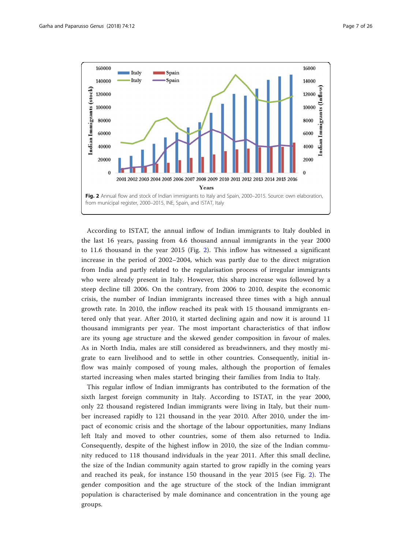<span id="page-6-0"></span>

According to ISTAT, the annual inflow of Indian immigrants to Italy doubled in the last 16 years, passing from 4.6 thousand annual immigrants in the year 2000 to 11.6 thousand in the year 2015 (Fig. 2). This inflow has witnessed a significant increase in the period of 2002–2004, which was partly due to the direct migration from India and partly related to the regularisation process of irregular immigrants who were already present in Italy. However, this sharp increase was followed by a steep decline till 2006. On the contrary, from 2006 to 2010, despite the economic crisis, the number of Indian immigrants increased three times with a high annual growth rate. In 2010, the inflow reached its peak with 15 thousand immigrants entered only that year. After 2010, it started declining again and now it is around 11 thousand immigrants per year. The most important characteristics of that inflow are its young age structure and the skewed gender composition in favour of males. As in North India, males are still considered as breadwinners, and they mostly migrate to earn livelihood and to settle in other countries. Consequently, initial inflow was mainly composed of young males, although the proportion of females started increasing when males started bringing their families from India to Italy.

This regular inflow of Indian immigrants has contributed to the formation of the sixth largest foreign community in Italy. According to ISTAT, in the year 2000, only 22 thousand registered Indian immigrants were living in Italy, but their number increased rapidly to 121 thousand in the year 2010. After 2010, under the impact of economic crisis and the shortage of the labour opportunities, many Indians left Italy and moved to other countries, some of them also returned to India. Consequently, despite of the highest inflow in 2010, the size of the Indian community reduced to 118 thousand individuals in the year 2011. After this small decline, the size of the Indian community again started to grow rapidly in the coming years and reached its peak, for instance 150 thousand in the year 2015 (see Fig. 2). The gender composition and the age structure of the stock of the Indian immigrant population is characterised by male dominance and concentration in the young age groups.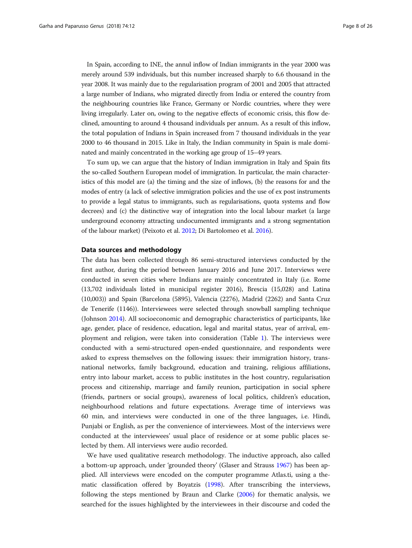<span id="page-7-0"></span>In Spain, according to INE, the annul inflow of Indian immigrants in the year 2000 was merely around 539 individuals, but this number increased sharply to 6.6 thousand in the year 2008. It was mainly due to the regularisation program of 2001 and 2005 that attracted a large number of Indians, who migrated directly from India or entered the country from the neighbouring countries like France, Germany or Nordic countries, where they were living irregularly. Later on, owing to the negative effects of economic crisis, this flow declined, amounting to around 4 thousand individuals per annum. As a result of this inflow, the total population of Indians in Spain increased from 7 thousand individuals in the year 2000 to 46 thousand in 2015. Like in Italy, the Indian community in Spain is male dominated and mainly concentrated in the working age group of 15–49 years.

To sum up, we can argue that the history of Indian immigration in Italy and Spain fits the so-called Southern European model of immigration. In particular, the main characteristics of this model are (a) the timing and the size of inflows, (b) the reasons for and the modes of entry (a lack of selective immigration policies and the use of ex post instruments to provide a legal status to immigrants, such as regularisations, quota systems and flow decrees) and (c) the distinctive way of integration into the local labour market (a large underground economy attracting undocumented immigrants and a strong segmentation of the labour market) (Peixoto et al. [2012](#page-25-0); Di Bartolomeo et al. [2016](#page-23-0)).

### Data sources and methodology

The data has been collected through 86 semi-structured interviews conducted by the first author, during the period between January 2016 and June 2017. Interviews were conducted in seven cities where Indians are mainly concentrated in Italy (i.e. Rome (13,702 individuals listed in municipal register 2016), Brescia (15,028) and Latina (10,003)) and Spain (Barcelona (5895), Valencia (2276), Madrid (2262) and Santa Cruz de Tenerife (1146)). Interviewees were selected through snowball sampling technique (Johnson [2014](#page-24-0)). All socioeconomic and demographic characteristics of participants, like age, gender, place of residence, education, legal and marital status, year of arrival, employment and religion, were taken into consideration (Table [1](#page-8-0)). The interviews were conducted with a semi-structured open-ended questionnaire, and respondents were asked to express themselves on the following issues: their immigration history, transnational networks, family background, education and training, religious affiliations, entry into labour market, access to public institutes in the host country, regularisation process and citizenship, marriage and family reunion, participation in social sphere (friends, partners or social groups), awareness of local politics, children's education, neighbourhood relations and future expectations. Average time of interviews was 60 min, and interviews were conducted in one of the three languages, i.e. Hindi, Punjabi or English, as per the convenience of interviewees. Most of the interviews were conducted at the interviewees' usual place of residence or at some public places selected by them. All interviews were audio recorded.

We have used qualitative research methodology. The inductive approach, also called a bottom-up approach, under 'grounded theory' (Glaser and Strauss [1967](#page-24-0)) has been applied. All interviews were encoded on the computer programme Atlas.ti, using a thematic classification offered by Boyatzis ([1998](#page-23-0)). After transcribing the interviews, following the steps mentioned by Braun and Clarke ([2006](#page-23-0)) for thematic analysis, we searched for the issues highlighted by the interviewees in their discourse and coded the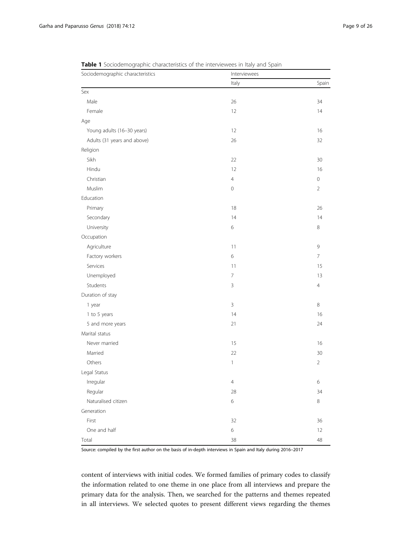| Sociodemographic characteristics | Interviewees   |                |
|----------------------------------|----------------|----------------|
|                                  | Italy          | Spain          |
| Sex                              |                |                |
| Male                             | 26             | 34             |
| Female                           | 12             | 14             |
| Age                              |                |                |
| Young adults (16-30 years)       | 12             | 16             |
| Adults (31 years and above)      | 26             | 32             |
| Religion                         |                |                |
| Sikh                             | 22             | 30             |
| Hindu                            | 12             | 16             |
| Christian                        | $\overline{4}$ | $\mathbf 0$    |
| Muslim                           | $\mathbf 0$    | $\overline{2}$ |
| Education                        |                |                |
| Primary                          | 18             | 26             |
| Secondary                        | 14             | 14             |
| University                       | 6              | $\,8\,$        |
| Occupation                       |                |                |
| Agriculture                      | 11             | 9              |
| Factory workers                  | 6              | $\overline{7}$ |
| Services                         | 11             | 15             |
| Unemployed                       | $\overline{7}$ | 13             |
| Students                         | 3              | $\overline{4}$ |
| Duration of stay                 |                |                |
| 1 year                           | $\mathbf{3}$   | 8              |
| 1 to 5 years                     | 14             | 16             |
| 5 and more years                 | 21             | 24             |
| Marital status                   |                |                |
| Never married                    | 15             | 16             |
| Married                          | 22             | 30             |
| Others                           | 1              | $\overline{2}$ |
| Legal Status                     |                |                |
| Irregular                        | $\overline{4}$ | $\,$ 6 $\,$    |
| Regular                          | 28             | 34             |
| Naturalised citizen              | $\,$ 6 $\,$    | $\,8\,$        |
| Generation                       |                |                |
| First                            | 32             | 36             |
| One and half                     | $\,$ 6 $\,$    | 12             |
| Total                            | 38             | 48             |

<span id="page-8-0"></span>Table 1 Sociodemographic characteristics of the interviewees in Italy and Spain

Source: compiled by the first author on the basis of in-depth interviews in Spain and Italy during 2016–2017

content of interviews with initial codes. We formed families of primary codes to classify the information related to one theme in one place from all interviews and prepare the primary data for the analysis. Then, we searched for the patterns and themes repeated in all interviews. We selected quotes to present different views regarding the themes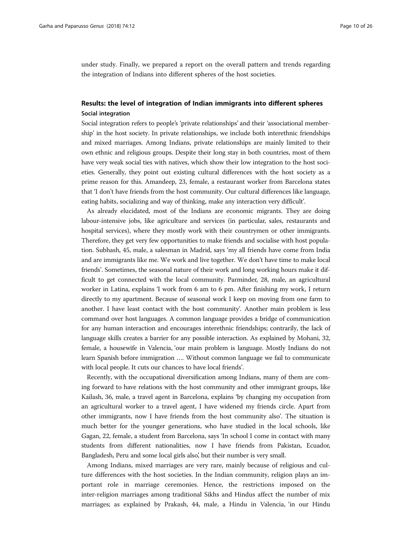<span id="page-9-0"></span>under study. Finally, we prepared a report on the overall pattern and trends regarding the integration of Indians into different spheres of the host societies.

# Results: the level of integration of Indian immigrants into different spheres Social integration

Social integration refers to people's 'private relationships' and their 'associational membership' in the host society. In private relationships, we include both interethnic friendships and mixed marriages. Among Indians, private relationships are mainly limited to their own ethnic and religious groups. Despite their long stay in both countries, most of them have very weak social ties with natives, which show their low integration to the host societies. Generally, they point out existing cultural differences with the host society as a prime reason for this. Amandeep, 23, female, a restaurant worker from Barcelona states that 'I don't have friends from the host community. Our cultural differences like language, eating habits, socializing and way of thinking, make any interaction very difficult'.

As already elucidated, most of the Indians are economic migrants. They are doing labour-intensive jobs, like agriculture and services (in particular, sales, restaurants and hospital services), where they mostly work with their countrymen or other immigrants. Therefore, they get very few opportunities to make friends and socialise with host population. Subhash, 45, male, a salesman in Madrid, says 'my all friends have come from India and are immigrants like me. We work and live together. We don't have time to make local friends'. Sometimes, the seasonal nature of their work and long working hours make it difficult to get connected with the local community. Parminder, 28, male, an agricultural worker in Latina, explains 'I work from 6 am to 6 pm. After finishing my work, I return directly to my apartment. Because of seasonal work I keep on moving from one farm to another. I have least contact with the host community'. Another main problem is less command over host languages. A common language provides a bridge of communication for any human interaction and encourages interethnic friendships; contrarily, the lack of language skills creates a barrier for any possible interaction. As explained by Mohani, 32, female, a housewife in Valencia, 'our main problem is language. Mostly Indians do not learn Spanish before immigration …. Without common language we fail to communicate with local people. It cuts our chances to have local friends'.

Recently, with the occupational diversification among Indians, many of them are coming forward to have relations with the host community and other immigrant groups, like Kailash, 36, male, a travel agent in Barcelona, explains 'by changing my occupation from an agricultural worker to a travel agent, I have widened my friends circle. Apart from other immigrants, now I have friends from the host community also'. The situation is much better for the younger generations, who have studied in the local schools, like Gagan, 22, female, a student from Barcelona, says 'In school I come in contact with many students from different nationalities, now I have friends from Pakistan, Ecuador, Bangladesh, Peru and some local girls also', but their number is very small.

Among Indians, mixed marriages are very rare, mainly because of religious and culture differences with the host societies. In the Indian community, religion plays an important role in marriage ceremonies. Hence, the restrictions imposed on the inter-religion marriages among traditional Sikhs and Hindus affect the number of mix marriages; as explained by Prakash, 44, male, a Hindu in Valencia, 'in our Hindu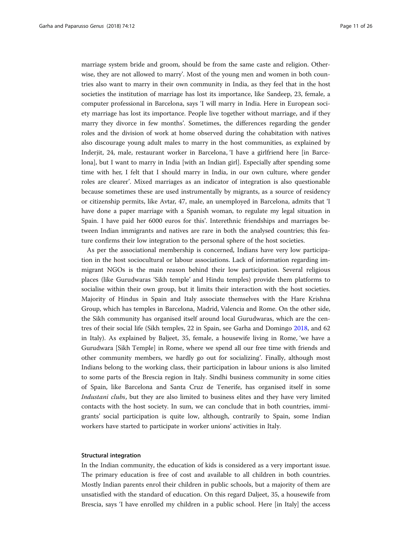marriage system bride and groom, should be from the same caste and religion. Otherwise, they are not allowed to marry'. Most of the young men and women in both countries also want to marry in their own community in India, as they feel that in the host societies the institution of marriage has lost its importance, like Sandeep, 23, female, a computer professional in Barcelona, says 'I will marry in India. Here in European society marriage has lost its importance. People live together without marriage, and if they marry they divorce in few months'. Sometimes, the differences regarding the gender roles and the division of work at home observed during the cohabitation with natives also discourage young adult males to marry in the host communities, as explained by Inderjit, 24, male, restaurant worker in Barcelona, 'I have a girlfriend here [in Barcelona], but I want to marry in India [with an Indian girl]. Especially after spending some time with her, I felt that I should marry in India, in our own culture, where gender roles are clearer'. Mixed marriages as an indicator of integration is also questionable because sometimes these are used instrumentally by migrants, as a source of residency or citizenship permits, like Avtar, 47, male, an unemployed in Barcelona, admits that 'I have done a paper marriage with a Spanish woman, to regulate my legal situation in Spain. I have paid her 6000 euros for this'. Interethnic friendships and marriages between Indian immigrants and natives are rare in both the analysed countries; this feature confirms their low integration to the personal sphere of the host societies.

As per the associational membership is concerned, Indians have very low participation in the host sociocultural or labour associations. Lack of information regarding immigrant NGOs is the main reason behind their low participation. Several religious places (like Gurudwaras 'Sikh temple' and Hindu temples) provide them platforms to socialise within their own group, but it limits their interaction with the host societies. Majority of Hindus in Spain and Italy associate themselves with the Hare Krishna Group, which has temples in Barcelona, Madrid, Valencia and Rome. On the other side, the Sikh community has organised itself around local Gurudwaras, which are the centres of their social life (Sikh temples, 22 in Spain, see Garha and Domingo [2018,](#page-24-0) and 62 in Italy). As explained by Baljeet, 35, female, a housewife living in Rome, 'we have a Gurudwara [Sikh Temple] in Rome, where we spend all our free time with friends and other community members, we hardly go out for socializing'. Finally, although most Indians belong to the working class, their participation in labour unions is also limited to some parts of the Brescia region in Italy. Sindhi business community in some cities of Spain, like Barcelona and Santa Cruz de Tenerife, has organised itself in some Industani clubs, but they are also limited to business elites and they have very limited contacts with the host society. In sum, we can conclude that in both countries, immigrants' social participation is quite low, although, contrarily to Spain, some Indian workers have started to participate in worker unions' activities in Italy.

#### Structural integration

In the Indian community, the education of kids is considered as a very important issue. The primary education is free of cost and available to all children in both countries. Mostly Indian parents enrol their children in public schools, but a majority of them are unsatisfied with the standard of education. On this regard Daljeet, 35, a housewife from Brescia, says 'I have enrolled my children in a public school. Here [in Italy] the access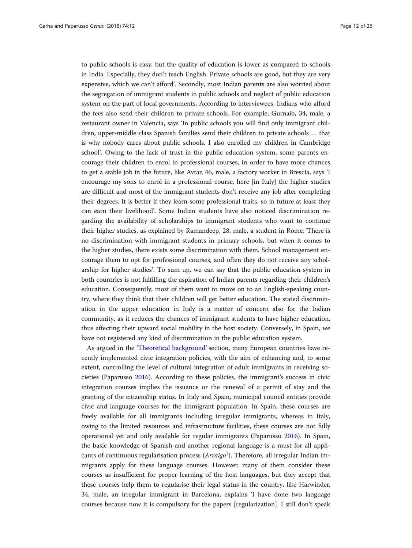to public schools is easy, but the quality of education is lower as compared to schools in India. Especially, they don't teach English. Private schools are good, but they are very expensive, which we can't afford'. Secondly, most Indian parents are also worried about the segregation of immigrant students in public schools and neglect of public education system on the part of local governments. According to interviewees, Indians who afford the fees also send their children to private schools. For example, Gurnaib, 34, male, a restaurant owner in Valencia, says 'In public schools you will find only immigrant children, upper-middle class Spanish families send their children to private schools … that is why nobody cares about public schools. I also enrolled my children in Cambridge school'. Owing to the lack of trust in the public education system, some parents encourage their children to enrol in professional courses, in order to have more chances to get a stable job in the future, like Avtar, 46, male, a factory worker in Brescia, says 'I encourage my sons to enrol in a professional course, here [in Italy] the higher studies are difficult and most of the immigrant students don't receive any job after completing their degrees. It is better if they learn some professional traits, so in future at least they can earn their livelihood'. Some Indian students have also noticed discrimination regarding the availability of scholarships to immigrant students who want to continue their higher studies, as explained by Ramandeep, 28, male, a student in Rome, 'There is no discrimination with immigrant students in primary schools, but when it comes to the higher studies, there exists some discrimination with them. School management encourage them to opt for professional courses, and often they do not receive any scholarship for higher studies'. To sum up, we can say that the public education system in both countries is not fulfilling the aspiration of Indian parents regarding their children's education. Consequently, most of them want to move on to an English-speaking country, where they think that their children will get better education. The stated discrimination in the upper education in Italy is a matter of concern also for the Indian community, as it reduces the chances of immigrant students to have higher education, thus affecting their upward social mobility in the host society. Conversely, in Spain, we have not registered any kind of discrimination in the public education system.

As argued in the '[Theoretical background](#page-2-0)' section, many European countries have recently implemented civic integration policies, with the aim of enhancing and, to some extent, controlling the level of cultural integration of adult immigrants in receiving societies (Paparusso [2016\)](#page-25-0). According to these policies, the immigrant's success in civic integration courses implies the issuance or the renewal of a permit of stay and the granting of the citizenship status. In Italy and Spain, municipal council entities provide civic and language courses for the immigrant population. In Spain, these courses are freely available for all immigrants including irregular immigrants, whereas in Italy, owing to the limited resources and infrastructure facilities, these courses are not fully operational yet and only available for regular immigrants (Paparusso [2016\)](#page-25-0). In Spain, the basic knowledge of Spanish and another regional language is a must for all applicants of continuous regularisation process ( $Arraigo<sup>1</sup>$ ). Therefore, all irregular Indian immigrants apply for these language courses. However, many of them consider these courses as insufficient for proper learning of the host languages, but they accept that these courses help them to regularise their legal status in the country, like Harwinder, 34, male, an irregular immigrant in Barcelona, explains 'I have done two language courses because now it is compulsory for the papers [regularization]. I still don't speak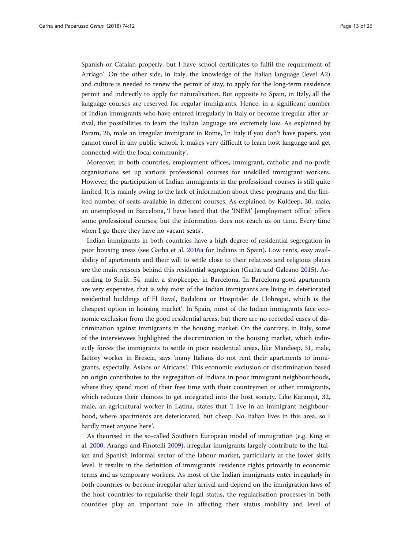Spanish or Catalan properly, but I have school certificates to fulfil the requirement of Arriago'. On the other side, in Italy, the knowledge of the Italian language (level A2) and culture is needed to renew the permit of stay, to apply for the long-term residence permit and indirectly to apply for naturalisation. But opposite to Spain, in Italy, all the language courses are reserved for regular immigrants. Hence, in a significant number of Indian immigrants who have entered irregularly in Italy or become irregular after arrival, the possibilities to learn the Italian language are extremely low. As explained by Param, 26, male an irregular immigrant in Rome, 'In Italy if you don't have papers, you cannot enrol in any public school, it makes very difficult to learn host language and get connected with the local community'.

Moreover, in both countries, employment offices, immigrant, catholic and no-profit organisations set up various professional courses for unskilled immigrant workers. However, the participation of Indian immigrants in the professional courses is still quite limited. It is mainly owing to the lack of information about these programs and the limited number of seats available in different courses. As explained by Kuldeep, 30, male, an unemployed in Barcelona, 'I have heard that the 'INEM' [employment office] offers some professional courses, but the information does not reach us on time. Every time when I go there they have no vacant seats'.

Indian immigrants in both countries have a high degree of residential segregation in poor housing areas (see Garha et al. [2016a](#page-24-0) for Indians in Spain). Low rents, easy availability of apartments and their will to settle close to their relatives and religious places are the main reasons behind this residential segregation (Garha and Galeano [2015\)](#page-24-0). According to Surjit, 54, male, a shopkeeper in Barcelona, 'In Barcelona good apartments are very expensive, that is why most of the Indian immigrants are living in deteriorated residential buildings of El Raval, Badalona or Hospitalet de Llobregat, which is the cheapest option in housing market'. In Spain, most of the Indian immigrants face economic exclusion from the good residential areas, but there are no recorded cases of discrimination against immigrants in the housing market. On the contrary, in Italy, some of the interviewees highlighted the discrimination in the housing market, which indirectly forces the immigrants to settle in poor residential areas, like Mandeep, 31, male, factory worker in Brescia, says 'many Italians do not rent their apartments to immigrants, especially, Asians or Africans'. This economic exclusion or discrimination based on origin contributes to the segregation of Indians in poor immigrant neighbourhoods, where they spend most of their free time with their countrymen or other immigrants, which reduces their chances to get integrated into the host society. Like Karamjit, 32, male, an agricultural worker in Latina, states that 'I live in an immigrant neighbourhood, where apartments are deteriorated, but cheap. No Italian lives in this area, so I hardly meet anyone here'.

As theorised in the so-called Southern European model of immigration (e.g. King et al. [2000](#page-24-0); Arango and Finotelli [2009](#page-23-0)), irregular immigrants largely contribute to the Italian and Spanish informal sector of the labour market, particularly at the lower skills level. It results in the definition of immigrants' residence rights primarily in economic terms and as temporary workers. As most of the Indian immigrants enter irregularly in both countries or become irregular after arrival and depend on the immigration laws of the host countries to regularise their legal status, the regularisation processes in both countries play an important role in affecting their status mobility and level of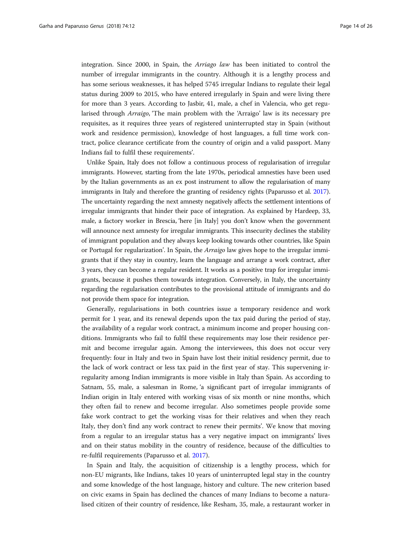integration. Since 2000, in Spain, the Arriago law has been initiated to control the number of irregular immigrants in the country. Although it is a lengthy process and has some serious weaknesses, it has helped 5745 irregular Indians to regulate their legal status during 2009 to 2015, who have entered irregularly in Spain and were living there for more than 3 years. According to Jasbir, 41, male, a chef in Valencia, who get regularised through Arraigo, 'The main problem with the 'Arraigo' law is its necessary pre requisites, as it requires three years of registered uninterrupted stay in Spain (without work and residence permission), knowledge of host languages, a full time work contract, police clearance certificate from the country of origin and a valid passport. Many Indians fail to fulfil these requirements'.

Unlike Spain, Italy does not follow a continuous process of regularisation of irregular immigrants. However, starting from the late 1970s, periodical amnesties have been used by the Italian governments as an ex post instrument to allow the regularisation of many immigrants in Italy and therefore the granting of residency rights (Paparusso et al. [2017](#page-25-0)). The uncertainty regarding the next amnesty negatively affects the settlement intentions of irregular immigrants that hinder their pace of integration. As explained by Hardeep, 33, male, a factory worker in Brescia, 'here [in Italy] you don't know when the government will announce next amnesty for irregular immigrants. This insecurity declines the stability of immigrant population and they always keep looking towards other countries, like Spain or Portugal for regularization'. In Spain, the Arraigo law gives hope to the irregular immigrants that if they stay in country, learn the language and arrange a work contract, after 3 years, they can become a regular resident. It works as a positive trap for irregular immigrants, because it pushes them towards integration. Conversely, in Italy, the uncertainty regarding the regularisation contributes to the provisional attitude of immigrants and do not provide them space for integration.

Generally, regularisations in both countries issue a temporary residence and work permit for 1 year, and its renewal depends upon the tax paid during the period of stay, the availability of a regular work contract, a minimum income and proper housing conditions. Immigrants who fail to fulfil these requirements may lose their residence permit and become irregular again. Among the interviewees, this does not occur very frequently: four in Italy and two in Spain have lost their initial residency permit, due to the lack of work contract or less tax paid in the first year of stay. This supervening irregularity among Indian immigrants is more visible in Italy than Spain. As according to Satnam, 55, male, a salesman in Rome, 'a significant part of irregular immigrants of Indian origin in Italy entered with working visas of six month or nine months, which they often fail to renew and become irregular. Also sometimes people provide some fake work contract to get the working visas for their relatives and when they reach Italy, they don't find any work contract to renew their permits'. We know that moving from a regular to an irregular status has a very negative impact on immigrants' lives and on their status mobility in the country of residence, because of the difficulties to re-fulfil requirements (Paparusso et al. [2017\)](#page-25-0).

In Spain and Italy, the acquisition of citizenship is a lengthy process, which for non-EU migrants, like Indians, takes 10 years of uninterrupted legal stay in the country and some knowledge of the host language, history and culture. The new criterion based on civic exams in Spain has declined the chances of many Indians to become a naturalised citizen of their country of residence, like Resham, 35, male, a restaurant worker in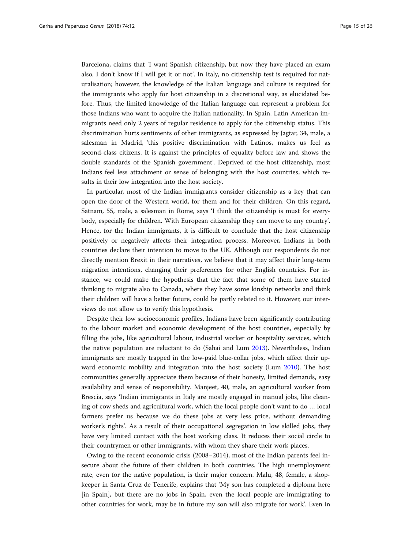Barcelona, claims that 'I want Spanish citizenship, but now they have placed an exam also, I don't know if I will get it or not'. In Italy, no citizenship test is required for naturalisation; however, the knowledge of the Italian language and culture is required for the immigrants who apply for host citizenship in a discretional way, as elucidated before. Thus, the limited knowledge of the Italian language can represent a problem for those Indians who want to acquire the Italian nationality. In Spain, Latin American immigrants need only 2 years of regular residence to apply for the citizenship status. This discrimination hurts sentiments of other immigrants, as expressed by Jagtar, 34, male, a salesman in Madrid, 'this positive discrimination with Latinos, makes us feel as second-class citizens. It is against the principles of equality before law and shows the double standards of the Spanish government'. Deprived of the host citizenship, most Indians feel less attachment or sense of belonging with the host countries, which results in their low integration into the host society.

In particular, most of the Indian immigrants consider citizenship as a key that can open the door of the Western world, for them and for their children. On this regard, Satnam, 55, male, a salesman in Rome, says 'I think the citizenship is must for everybody, especially for children. With European citizenship they can move to any country'. Hence, for the Indian immigrants, it is difficult to conclude that the host citizenship positively or negatively affects their integration process. Moreover, Indians in both countries declare their intention to move to the UK. Although our respondents do not directly mention Brexit in their narratives, we believe that it may affect their long-term migration intentions, changing their preferences for other English countries. For instance, we could make the hypothesis that the fact that some of them have started thinking to migrate also to Canada, where they have some kinship networks and think their children will have a better future, could be partly related to it. However, our interviews do not allow us to verify this hypothesis.

Despite their low socioeconomic profiles, Indians have been significantly contributing to the labour market and economic development of the host countries, especially by filling the jobs, like agricultural labour, industrial worker or hospitality services, which the native population are reluctant to do (Sahai and Lum [2013\)](#page-25-0). Nevertheless, Indian immigrants are mostly trapped in the low-paid blue-collar jobs, which affect their upward economic mobility and integration into the host society (Lum [2010](#page-24-0)). The host communities generally appreciate them because of their honesty, limited demands, easy availability and sense of responsibility. Manjeet, 40, male, an agricultural worker from Brescia, says 'Indian immigrants in Italy are mostly engaged in manual jobs, like cleaning of cow sheds and agricultural work, which the local people don't want to do … local farmers prefer us because we do these jobs at very less price, without demanding worker's rights'. As a result of their occupational segregation in low skilled jobs, they have very limited contact with the host working class. It reduces their social circle to their countrymen or other immigrants, with whom they share their work places.

Owing to the recent economic crisis (2008–2014), most of the Indian parents feel insecure about the future of their children in both countries. The high unemployment rate, even for the native population, is their major concern. Malu, 48, female, a shopkeeper in Santa Cruz de Tenerife, explains that 'My son has completed a diploma here [in Spain], but there are no jobs in Spain, even the local people are immigrating to other countries for work, may be in future my son will also migrate for work'. Even in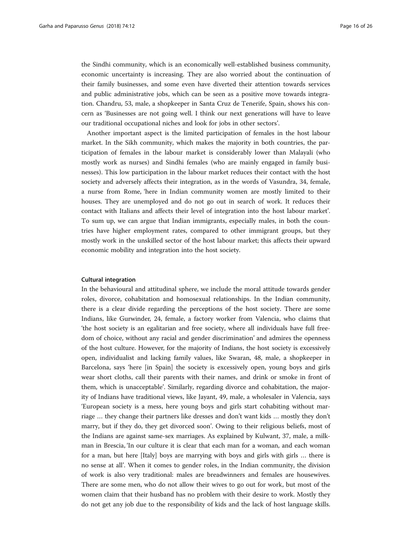the Sindhi community, which is an economically well-established business community, economic uncertainty is increasing. They are also worried about the continuation of their family businesses, and some even have diverted their attention towards services and public administrative jobs, which can be seen as a positive move towards integration. Chandru, 53, male, a shopkeeper in Santa Cruz de Tenerife, Spain, shows his concern as 'Businesses are not going well. I think our next generations will have to leave our traditional occupational niches and look for jobs in other sectors'.

Another important aspect is the limited participation of females in the host labour market. In the Sikh community, which makes the majority in both countries, the participation of females in the labour market is considerably lower than Malayali (who mostly work as nurses) and Sindhi females (who are mainly engaged in family businesses). This low participation in the labour market reduces their contact with the host society and adversely affects their integration, as in the words of Vasundra, 34, female, a nurse from Rome, 'here in Indian community women are mostly limited to their houses. They are unemployed and do not go out in search of work. It reduces their contact with Italians and affects their level of integration into the host labour market'. To sum up, we can argue that Indian immigrants, especially males, in both the countries have higher employment rates, compared to other immigrant groups, but they mostly work in the unskilled sector of the host labour market; this affects their upward economic mobility and integration into the host society.

#### Cultural integration

In the behavioural and attitudinal sphere, we include the moral attitude towards gender roles, divorce, cohabitation and homosexual relationships. In the Indian community, there is a clear divide regarding the perceptions of the host society. There are some Indians, like Gurwinder, 24, female, a factory worker from Valencia, who claims that 'the host society is an egalitarian and free society, where all individuals have full freedom of choice, without any racial and gender discrimination' and admires the openness of the host culture. However, for the majority of Indians, the host society is excessively open, individualist and lacking family values, like Swaran, 48, male, a shopkeeper in Barcelona, says 'here [in Spain] the society is excessively open, young boys and girls wear short cloths, call their parents with their names, and drink or smoke in front of them, which is unacceptable'. Similarly, regarding divorce and cohabitation, the majority of Indians have traditional views, like Jayant, 49, male, a wholesaler in Valencia, says 'European society is a mess, here young boys and girls start cohabiting without marriage … they change their partners like dresses and don't want kids … mostly they don't marry, but if they do, they get divorced soon'. Owing to their religious beliefs, most of the Indians are against same-sex marriages. As explained by Kulwant, 37, male, a milkman in Brescia, 'In our culture it is clear that each man for a woman, and each woman for a man, but here [Italy] boys are marrying with boys and girls with girls … there is no sense at all'. When it comes to gender roles, in the Indian community, the division of work is also very traditional: males are breadwinners and females are housewives. There are some men, who do not allow their wives to go out for work, but most of the women claim that their husband has no problem with their desire to work. Mostly they do not get any job due to the responsibility of kids and the lack of host language skills.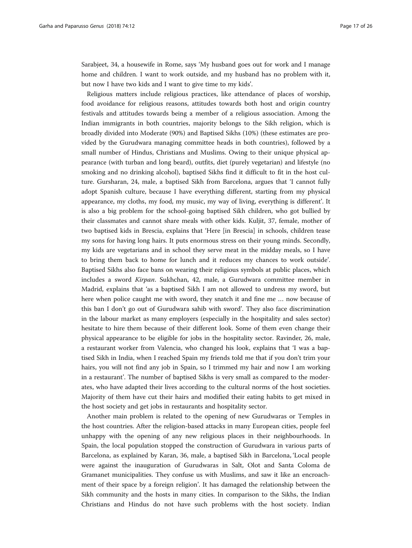Sarabjeet, 34, a housewife in Rome, says 'My husband goes out for work and I manage home and children. I want to work outside, and my husband has no problem with it, but now I have two kids and I want to give time to my kids'.

Religious matters include religious practices, like attendance of places of worship, food avoidance for religious reasons, attitudes towards both host and origin country festivals and attitudes towards being a member of a religious association. Among the Indian immigrants in both countries, majority belongs to the Sikh religion, which is broadly divided into Moderate (90%) and Baptised Sikhs (10%) (these estimates are provided by the Gurudwara managing committee heads in both countries), followed by a small number of Hindus, Christians and Muslims. Owing to their unique physical appearance (with turban and long beard), outfits, diet (purely vegetarian) and lifestyle (no smoking and no drinking alcohol), baptised Sikhs find it difficult to fit in the host culture. Gursharan, 24, male, a baptised Sikh from Barcelona, argues that 'I cannot fully adopt Spanish culture, because I have everything different, starting from my physical appearance, my cloths, my food, my music, my way of living, everything is different'. It is also a big problem for the school-going baptised Sikh children, who got bullied by their classmates and cannot share meals with other kids. Kuljit, 37, female, mother of two baptised kids in Brescia, explains that 'Here [in Brescia] in schools, children tease my sons for having long hairs. It puts enormous stress on their young minds. Secondly, my kids are vegetarians and in school they serve meat in the midday meals, so I have to bring them back to home for lunch and it reduces my chances to work outside'. Baptised Sikhs also face bans on wearing their religious symbols at public places, which includes a sword Kirpan. Sukhchan, 42, male, a Gurudwara committee member in Madrid, explains that 'as a baptised Sikh I am not allowed to undress my sword, but here when police caught me with sword, they snatch it and fine me … now because of this ban I don't go out of Gurudwara sahib with sword'. They also face discrimination in the labour market as many employers (especially in the hospitality and sales sector) hesitate to hire them because of their different look. Some of them even change their physical appearance to be eligible for jobs in the hospitality sector. Ravinder, 26, male, a restaurant worker from Valencia, who changed his look, explains that 'I was a baptised Sikh in India, when I reached Spain my friends told me that if you don't trim your hairs, you will not find any job in Spain, so I trimmed my hair and now I am working in a restaurant'. The number of baptised Sikhs is very small as compared to the moderates, who have adapted their lives according to the cultural norms of the host societies. Majority of them have cut their hairs and modified their eating habits to get mixed in the host society and get jobs in restaurants and hospitality sector.

Another main problem is related to the opening of new Gurudwaras or Temples in the host countries. After the religion-based attacks in many European cities, people feel unhappy with the opening of any new religious places in their neighbourhoods. In Spain, the local population stopped the construction of Gurudwara in various parts of Barcelona, as explained by Karan, 36, male, a baptised Sikh in Barcelona, 'Local people were against the inauguration of Gurudwaras in Salt, Olot and Santa Coloma de Gramanet municipalities. They confuse us with Muslims, and saw it like an encroachment of their space by a foreign religion'. It has damaged the relationship between the Sikh community and the hosts in many cities. In comparison to the Sikhs, the Indian Christians and Hindus do not have such problems with the host society. Indian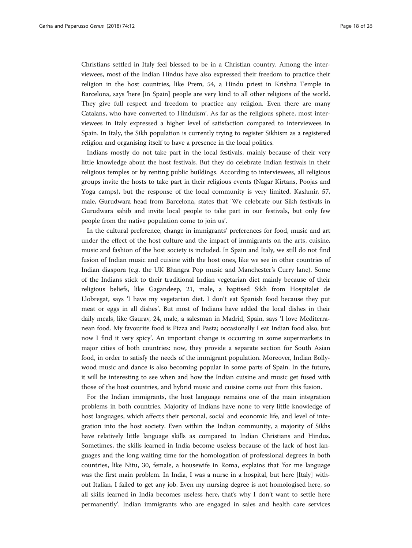Christians settled in Italy feel blessed to be in a Christian country. Among the interviewees, most of the Indian Hindus have also expressed their freedom to practice their religion in the host countries, like Prem, 54, a Hindu priest in Krishna Temple in Barcelona, says 'here [in Spain] people are very kind to all other religions of the world. They give full respect and freedom to practice any religion. Even there are many Catalans, who have converted to Hinduism'. As far as the religious sphere, most interviewees in Italy expressed a higher level of satisfaction compared to interviewees in Spain. In Italy, the Sikh population is currently trying to register Sikhism as a registered religion and organising itself to have a presence in the local politics.

Indians mostly do not take part in the local festivals, mainly because of their very little knowledge about the host festivals. But they do celebrate Indian festivals in their religious temples or by renting public buildings. According to interviewees, all religious groups invite the hosts to take part in their religious events (Nagar Kirtans, Poojas and Yoga camps), but the response of the local community is very limited. Kashmir, 57, male, Gurudwara head from Barcelona, states that 'We celebrate our Sikh festivals in Gurudwara sahib and invite local people to take part in our festivals, but only few people from the native population come to join us'.

In the cultural preference, change in immigrants' preferences for food, music and art under the effect of the host culture and the impact of immigrants on the arts, cuisine, music and fashion of the host society is included. In Spain and Italy, we still do not find fusion of Indian music and cuisine with the host ones, like we see in other countries of Indian diaspora (e.g. the UK Bhangra Pop music and Manchester's Curry lane). Some of the Indians stick to their traditional Indian vegetarian diet mainly because of their religious beliefs, like Gagandeep, 21, male, a baptised Sikh from Hospitalet de Llobregat, says 'I have my vegetarian diet. I don't eat Spanish food because they put meat or eggs in all dishes'. But most of Indians have added the local dishes in their daily meals, like Gaurav, 24, male, a salesman in Madrid, Spain, says 'I love Mediterranean food. My favourite food is Pizza and Pasta; occasionally I eat Indian food also, but now I find it very spicy'. An important change is occurring in some supermarkets in major cities of both countries: now, they provide a separate section for South Asian food, in order to satisfy the needs of the immigrant population. Moreover, Indian Bollywood music and dance is also becoming popular in some parts of Spain. In the future, it will be interesting to see when and how the Indian cuisine and music get fused with those of the host countries, and hybrid music and cuisine come out from this fusion.

For the Indian immigrants, the host language remains one of the main integration problems in both countries. Majority of Indians have none to very little knowledge of host languages, which affects their personal, social and economic life, and level of integration into the host society. Even within the Indian community, a majority of Sikhs have relatively little language skills as compared to Indian Christians and Hindus. Sometimes, the skills learned in India become useless because of the lack of host languages and the long waiting time for the homologation of professional degrees in both countries, like Nitu, 30, female, a housewife in Roma, explains that 'for me language was the first main problem. In India, I was a nurse in a hospital, but here [Italy] without Italian, I failed to get any job. Even my nursing degree is not homologised here, so all skills learned in India becomes useless here, that's why I don't want to settle here permanently'. Indian immigrants who are engaged in sales and health care services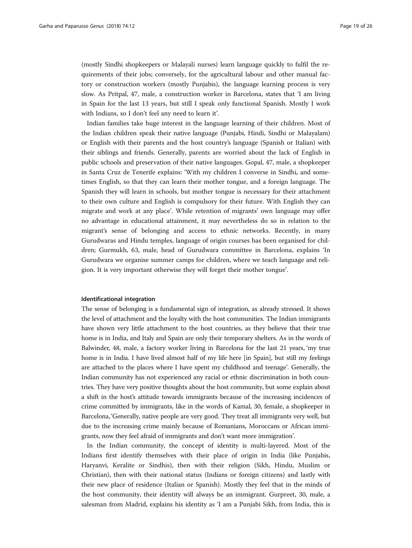(mostly Sindhi shopkeepers or Malayali nurses) learn language quickly to fulfil the requirements of their jobs; conversely, for the agricultural labour and other manual factory or construction workers (mostly Punjabis), the language learning process is very slow. As Pritpal, 47, male, a construction worker in Barcelona, states that 'I am living in Spain for the last 13 years, but still I speak only functional Spanish. Mostly I work with Indians, so I don't feel any need to learn it'.

Indian families take huge interest in the language learning of their children. Most of the Indian children speak their native language (Punjabi, Hindi, Sindhi or Malayalam) or English with their parents and the host country's language (Spanish or Italian) with their siblings and friends. Generally, parents are worried about the lack of English in public schools and preservation of their native languages. Gopal, 47, male, a shopkeeper in Santa Cruz de Tenerife explains: 'With my children I converse in Sindhi, and sometimes English, so that they can learn their mother tongue, and a foreign language. The Spanish they will learn in schools, but mother tongue is necessary for their attachment to their own culture and English is compulsory for their future. With English they can migrate and work at any place'. While retention of migrants' own language may offer no advantage in educational attainment, it may nevertheless do so in relation to the migrant's sense of belonging and access to ethnic networks. Recently, in many Gurudwaras and Hindu temples, language of origin courses has been organised for children; Gurmukh, 63, male, head of Gurudwara committee in Barcelona, explains 'In Gurudwara we organise summer camps for children, where we teach language and religion. It is very important otherwise they will forget their mother tongue'.

#### Identificational integration

The sense of belonging is a fundamental sign of integration, as already stressed. It shows the level of attachment and the loyalty with the host communities. The Indian immigrants have shown very little attachment to the host countries, as they believe that their true home is in India, and Italy and Spain are only their temporary shelters. As in the words of Balwinder, 48, male, a factory worker living in Barcelona for the last 21 years, 'my true home is in India. I have lived almost half of my life here [in Spain], but still my feelings are attached to the places where I have spent my childhood and teenage'. Generally, the Indian community has not experienced any racial or ethnic discrimination in both countries. They have very positive thoughts about the host community, but some explain about a shift in the host's attitude towards immigrants because of the increasing incidences of crime committed by immigrants, like in the words of Kamal, 30, female, a shopkeeper in Barcelona, 'Generally, native people are very good. They treat all immigrants very well, but due to the increasing crime mainly because of Romanians, Moroccans or African immigrants, now they feel afraid of immigrants and don't want more immigration'.

In the Indian community, the concept of identity is multi-layered. Most of the Indians first identify themselves with their place of origin in India (like Punjabis, Haryanvi, Keralite or Sindhis), then with their religion (Sikh, Hindu, Muslim or Christian), then with their national status (Indians or foreign citizens) and lastly with their new place of residence (Italian or Spanish). Mostly they feel that in the minds of the host community, their identity will always be an immigrant. Gurpreet, 30, male, a salesman from Madrid, explains his identity as 'I am a Punjabi Sikh, from India, this is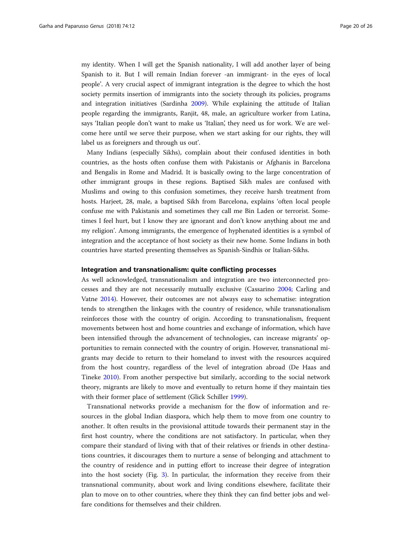<span id="page-19-0"></span>my identity. When I will get the Spanish nationality, I will add another layer of being Spanish to it. But I will remain Indian forever -an immigrant- in the eyes of local people'. A very crucial aspect of immigrant integration is the degree to which the host society permits insertion of immigrants into the society through its policies, programs and integration initiatives (Sardinha [2009](#page-25-0)). While explaining the attitude of Italian people regarding the immigrants, Ranjit, 48, male, an agriculture worker from Latina, says 'Italian people don't want to make us 'Italian', they need us for work. We are welcome here until we serve their purpose, when we start asking for our rights, they will label us as foreigners and through us out'.

Many Indians (especially Sikhs), complain about their confused identities in both countries, as the hosts often confuse them with Pakistanis or Afghanis in Barcelona and Bengalis in Rome and Madrid. It is basically owing to the large concentration of other immigrant groups in these regions. Baptised Sikh males are confused with Muslims and owing to this confusion sometimes, they receive harsh treatment from hosts. Harjeet, 28, male, a baptised Sikh from Barcelona, explains 'often local people confuse me with Pakistanis and sometimes they call me Bin Laden or terrorist. Sometimes I feel hurt, but I know they are ignorant and don't know anything about me and my religion'. Among immigrants, the emergence of hyphenated identities is a symbol of integration and the acceptance of host society as their new home. Some Indians in both countries have started presenting themselves as Spanish-Sindhis or Italian-Sikhs.

#### Integration and transnationalism: quite conflicting processes

As well acknowledged, transnationalism and integration are two interconnected processes and they are not necessarily mutually exclusive (Cassarino [2004](#page-23-0); Carling and Vatne [2014\)](#page-23-0). However, their outcomes are not always easy to schematise: integration tends to strengthen the linkages with the country of residence, while transnationalism reinforces those with the country of origin. According to transnationalism, frequent movements between host and home countries and exchange of information, which have been intensified through the advancement of technologies, can increase migrants' opportunities to remain connected with the country of origin. However, transnational migrants may decide to return to their homeland to invest with the resources acquired from the host country, regardless of the level of integration abroad (De Haas and Tineke [2010](#page-23-0)). From another perspective but similarly, according to the social network theory, migrants are likely to move and eventually to return home if they maintain ties with their former place of settlement (Glick Schiller [1999\)](#page-24-0).

Transnational networks provide a mechanism for the flow of information and resources in the global Indian diaspora, which help them to move from one country to another. It often results in the provisional attitude towards their permanent stay in the first host country, where the conditions are not satisfactory. In particular, when they compare their standard of living with that of their relatives or friends in other destinations countries, it discourages them to nurture a sense of belonging and attachment to the country of residence and in putting effort to increase their degree of integration into the host society (Fig. [3\)](#page-20-0). In particular, the information they receive from their transnational community, about work and living conditions elsewhere, facilitate their plan to move on to other countries, where they think they can find better jobs and welfare conditions for themselves and their children.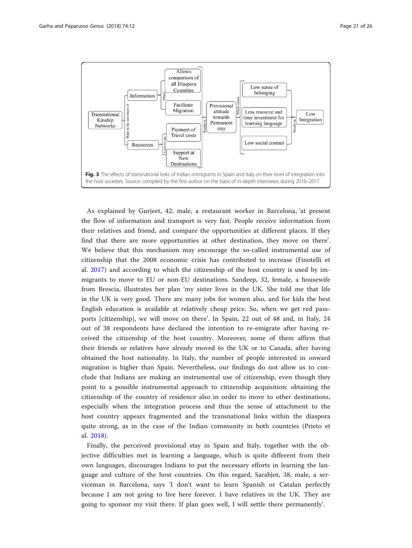<span id="page-20-0"></span>

As explained by Gurjeet, 42, male, a restaurant worker in Barcelona, 'at present the flow of information and transport is very fast. People receive information from their relatives and friend, and compare the opportunities at different places. If they find that there are more opportunities at other destination, they move on there'. We believe that this mechanism may encourage the so-called instrumental use of citizenship that the 2008 economic crisis has contributed to increase (Finotelli et al. [2017\)](#page-24-0) and according to which the citizenship of the host country is used by immigrants to move to EU or non-EU destinations. Sandeep, 32, female, a housewife from Brescia, illustrates her plan 'my sister lives in the UK. She told me that life in the UK is very good. There are many jobs for women also, and for kids the best English education is available at relatively cheap price. So, when we get red passports [citizenship], we will move on there'. In Spain, 22 out of 48 and, in Italy, 24 out of 38 respondents have declared the intention to re-emigrate after having received the citizenship of the host country. Moreover, some of them affirm that their friends or relatives have already moved to the UK or to Canada, after having obtained the host nationality. In Italy, the number of people interested in onward migration is higher than Spain. Nevertheless, our findings do not allow us to conclude that Indians are making an instrumental use of citizenship, even though they point to a possible instrumental approach to citizenship acquisition: obtaining the citizenship of the country of residence also in order to move to other destinations, especially when the integration process and thus the sense of attachment to the host country appears fragmented and the transnational links within the diaspora quite strong, as in the case of the Indian community in both countries (Prieto et al. [2018\)](#page-25-0).

Finally, the perceived provisional stay in Spain and Italy, together with the objective difficulties met in learning a language, which is quite different from their own languages, discourages Indians to put the necessary efforts in learning the language and culture of the host countries. On this regard, Sarabjot, 38, male, a serviceman in Barcelona, says 'I don't want to learn Spanish or Catalan perfectly because I am not going to live here forever. I have relatives in the UK. They are going to sponsor my visit there. If plan goes well, I will settle there permanently'.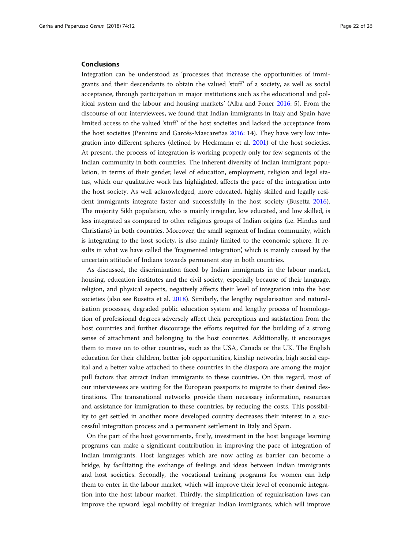#### <span id="page-21-0"></span>Conclusions

Integration can be understood as 'processes that increase the opportunities of immigrants and their descendants to obtain the valued 'stuff' of a society, as well as social acceptance, through participation in major institutions such as the educational and political system and the labour and housing markets' (Alba and Foner [2016:](#page-23-0) 5). From the discourse of our interviewees, we found that Indian immigrants in Italy and Spain have limited access to the valued 'stuff' of the host societies and lacked the acceptance from the host societies (Penninx and Garcés-Mascareñas [2016:](#page-25-0) 14). They have very low integration into different spheres (defined by Heckmann et al. [2001](#page-24-0)) of the host societies. At present, the process of integration is working properly only for few segments of the Indian community in both countries. The inherent diversity of Indian immigrant population, in terms of their gender, level of education, employment, religion and legal status, which our qualitative work has highlighted, affects the pace of the integration into the host society. As well acknowledged, more educated, highly skilled and legally resident immigrants integrate faster and successfully in the host society (Busetta [2016](#page-23-0)). The majority Sikh population, who is mainly irregular, low educated, and low skilled, is less integrated as compared to other religious groups of Indian origins (i.e. Hindus and Christians) in both countries. Moreover, the small segment of Indian community, which is integrating to the host society, is also mainly limited to the economic sphere. It results in what we have called the 'fragmented integration', which is mainly caused by the uncertain attitude of Indians towards permanent stay in both countries.

As discussed, the discrimination faced by Indian immigrants in the labour market, housing, education institutes and the civil society, especially because of their language, religion, and physical aspects, negatively affects their level of integration into the host societies (also see Busetta et al. [2018\)](#page-23-0). Similarly, the lengthy regularisation and naturalisation processes, degraded public education system and lengthy process of homologation of professional degrees adversely affect their perceptions and satisfaction from the host countries and further discourage the efforts required for the building of a strong sense of attachment and belonging to the host countries. Additionally, it encourages them to move on to other countries, such as the USA, Canada or the UK. The English education for their children, better job opportunities, kinship networks, high social capital and a better value attached to these countries in the diaspora are among the major pull factors that attract Indian immigrants to these countries. On this regard, most of our interviewees are waiting for the European passports to migrate to their desired destinations. The transnational networks provide them necessary information, resources and assistance for immigration to these countries, by reducing the costs. This possibility to get settled in another more developed country decreases their interest in a successful integration process and a permanent settlement in Italy and Spain.

On the part of the host governments, firstly, investment in the host language learning programs can make a significant contribution in improving the pace of integration of Indian immigrants. Host languages which are now acting as barrier can become a bridge, by facilitating the exchange of feelings and ideas between Indian immigrants and host societies. Secondly, the vocational training programs for women can help them to enter in the labour market, which will improve their level of economic integration into the host labour market. Thirdly, the simplification of regularisation laws can improve the upward legal mobility of irregular Indian immigrants, which will improve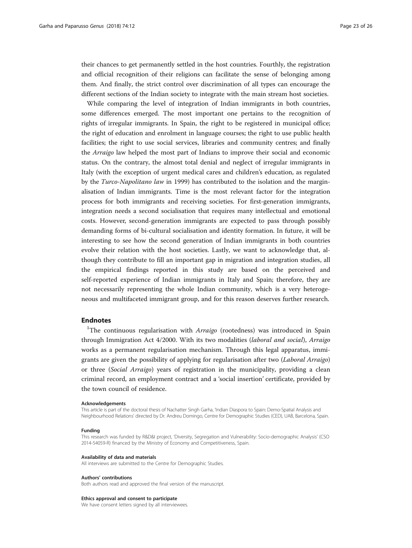their chances to get permanently settled in the host countries. Fourthly, the registration and official recognition of their religions can facilitate the sense of belonging among them. And finally, the strict control over discrimination of all types can encourage the different sections of the Indian society to integrate with the main stream host societies.

While comparing the level of integration of Indian immigrants in both countries, some differences emerged. The most important one pertains to the recognition of rights of irregular immigrants. In Spain, the right to be registered in municipal office; the right of education and enrolment in language courses; the right to use public health facilities; the right to use social services, libraries and community centres; and finally the Arraigo law helped the most part of Indians to improve their social and economic status. On the contrary, the almost total denial and neglect of irregular immigrants in Italy (with the exception of urgent medical cares and children's education, as regulated by the Turco-Napolitano law in 1999) has contributed to the isolation and the marginalisation of Indian immigrants. Time is the most relevant factor for the integration process for both immigrants and receiving societies. For first-generation immigrants, integration needs a second socialisation that requires many intellectual and emotional costs. However, second-generation immigrants are expected to pass through possibly demanding forms of bi-cultural socialisation and identity formation. In future, it will be interesting to see how the second generation of Indian immigrants in both countries evolve their relation with the host societies. Lastly, we want to acknowledge that, although they contribute to fill an important gap in migration and integration studies, all the empirical findings reported in this study are based on the perceived and self-reported experience of Indian immigrants in Italy and Spain; therefore, they are not necessarily representing the whole Indian community, which is a very heterogeneous and multifaceted immigrant group, and for this reason deserves further research.

#### Endnotes

<sup>1</sup>The continuous regularisation with Arraigo (rootedness) was introduced in Spain through Immigration Act 4/2000. With its two modalities (laboral and social), Arraigo works as a permanent regularisation mechanism. Through this legal apparatus, immigrants are given the possibility of applying for regularisation after two (Laboral Arraigo) or three (Social Arraigo) years of registration in the municipality, providing a clean criminal record, an employment contract and a 'social insertion' certificate, provided by the town council of residence.

#### Acknowledgements

This article is part of the doctoral thesis of Nachatter Singh Garha, 'Indian Diaspora to Spain: Demo-Spatial Analysis and Neighbourhood Relations' directed by Dr. Andreu Domingo, Centre for Demographic Studies (CED), UAB, Barcelona, Spain.

#### Funding

This research was funded by R&D&I project, 'Diversity, Segregation and Vulnerability: Socio-demographic Analysis' (CSO 2014-54059-R) financed by the Ministry of Economy and Competitiveness, Spain.

#### Availability of data and materials

All interviews are submitted to the Centre for Demographic Studies.

#### Authors' contributions

Both authors read and approved the final version of the manuscript.

#### Ethics approval and consent to participate

We have consent letters signed by all interviewees.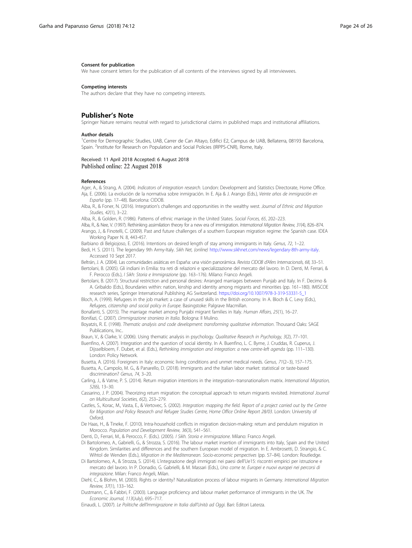#### <span id="page-23-0"></span>Consent for publication

We have consent letters for the publication of all contents of the interviews signed by all interviewees.

#### Competing interests

The authors declare that they have no competing interests.

### Publisher's Note

Springer Nature remains neutral with regard to jurisdictional claims in published maps and institutional affiliations.

#### Author details

<sup>1</sup>Centre for Demographic Studies, UAB, Carrer de Can Altayo, Edifici E2, Campus de UAB, Bellaterra, 08193 Barcelona, Spain. <sup>2</sup>Institute for Research on Population and Social Policies (IRPPS-CNR), Rome, Italy.

#### Received: 11 April 2018 Accepted: 6 August 2018 Published online: 22 August 2018

#### References

Ager, A., & Strang, A. (2004). Indicators of integration research. London: Development and Statistics Directorate, Home Office. Aja, E. (2006). La evolución de la normativa sobre inmigración. In E. Aja & J. Arango (Eds.), Veinte años de inmigración en España (pp. 17–48). Barcelona: CIDOB.

Alba, R., & Foner, N. (2016). Integration's challenges and opportunities in the wealthy west. Journal of Ethnic and Migration Studies, 42(1), 3–22.

Alba, R., & Golden, R. (1986). Patterns of ethnic marriage in the United States. Social Forces, 65, 202–223.

Alba, R., & Nee, V. (1997). Rethinking assimilation theory for a new era of immigration. International Migration Review, 31(4), 826–874. Arango, J., & Finotelli, C. (2009). Past and future challenges of a southern European migration regime: the Spanish case. IDEA Working Paper N. 8, 443-457.

Barbiano di Belgiojoso, E. (2016). Intentions on desired length of stay among immigrants in Italy. Genus, 72, 1–22.

Bedi, H. S. (2011). The legendary 9th Army-Italy. Sikh Net, (online) [http://www.sikhnet.com/news/legendary-8th-army-italy.](http://www.sikhnet.com/news/legendary-8th-army-italy) Accessed 10 Sept 2017.

Beltrán, J. A. (2004). Las comunidades asiáticas en España: una visión panorámica. Revista CIDOB d'Afers Internacionals, 68, 33–51. Bertolani, B. (2005). Gli indiani in Emilia: tra reti di relazioni e specializzazione del mercato del lavoro. In D. Denti, M. Ferrari, & F. Perocco (Eds.), I Sikh: Storia e Immigrazione (pp. 163–176). Milano: Franco Angeli.

- Bertolani, B. (2017). Structural restriction and personal desires: Arranged marriages between Punjab and Italy. In F. Decimo & A. Gribaldo (Eds.), Boundaries within: nation, kinship and identity among migrants and minorities (pp. 161–180). IMISCOE research series, Springer International Publishing AG Switzerland. [https://doi.org/10.1007/978-3-319-53331-5\\_1](https://doi.org/10.1007/978-3-319-53331-5_1)
- Bloch, A. (1999). Refugees in the job market: a case of unused skills in the British economy. In A. Bloch & C. Levy (Eds.), Refugees, citizenship and social policy in Europe. Basingstoke: Palgrave Macmillan.

Bonafanti, S. (2015). The marriage market among Punjabi migrant families in Italy. Human Affairs, 25(1), 16–27.

Bonifazi, C. (2007). L'immigrazione straniera in Italia. Bologna: Il Mulino.

Boyatzis, R. E. (1998). Thematic analysis and code development: transforming qualitative information. Thousand Oaks: SAGE Publications, Inc..

Braun, V., & Clarke, V. (2006). Using thematic analysis in psychology. Qualitative Research in Psychology, 3(2), 77–101.

Buenfino, A. (2007). Integration and the question of social identity. In A. Buenfino, L. C. Byrne, J. Cruddas, R. Cuperus, J. Dijsselbloem, F. Dubet, et al. (Eds.), Rethinking immigration and integration: a new centre-left agenda (pp. 111–130). London: Policy Network.

Busetta, A. (2016). Foreigners in Italy: economic living conditions and unmet medical needs. Genus, 71(2–3), 157–175.

- Busetta, A., Campolo, M. G., & Panarello, D. (2018). Immigrants and the Italian labor market: statistical or taste-based discrimination? Genus, 74, 3–20.
- Carling, J., & Vatne, P. S. (2014). Return migration intentions in the integration–transnationalism matrix. International Migration, 52(6), 13–30.
- Cassarino, J. P. (2004). Theorizing return migration: the conceptual approach to return migrants revisited. International Journal on Multicultural Societies, 6(2), 253–279.
- Castles, S., Korac, M., Vasta, E., & Vertovec, S. (2002). Integration: mapping the field. Report of a project carried out by the Centre for Migration and Policy Research and Refugee Studies Centre, Home Office Online Report 28/03. London: University of Oxford.

De Haas, H., & Tineke, F. (2010). Intra-household conflicts in migration decision-making: return and pendulum migration in Morocco. Population and Development Review, 36(3), 541–561.

Denti, D., Ferrari, M., & Perocco, F. (Eds.). (2005). I Sikh. Storia e immigrazione. Milano: Franco Angeli.

- Di Bartolomeo, A., Gabrielli, G., & Strozza, S. (2016). The labour market insertion of immigrants into Italy, Spain and the United Kingdom. Similarities and differences and the southern European model of migration. In E. Ambrosetti, D. Strangio, & C. Wihtol de Wenden (Eds.), Migration in the Mediterranean. Socio-economic perspectives (pp. 57–84). London: Routledge.
- Di Bartolomeo, A., & Strozza, S. (2014). L'integrazione degli immigrati nei paesi dell'Ue15: riscontri empirici per istruzione e mercato del lavoro. In P. Donadio, G. Gabrielli, & M. Massari (Eds.), Uno come te. Europei e nuovi europei nei percorsi di integrazione. Milan: Franco Angeli, Milan.
- Diehl, C., & Blohm, M. (2003). Rights or identity? Naturalization process of labour migrants in Germany. International Migration Review, 37(1), 133–162.

Dustmann, C., & Fabbri, F. (2003). Language proficiency and labour market performance of immigrants in the UK. The Economic Journal, 113(July), 695–717.

Einaudi, L. (2007). Le Politiche dell'Immigrazione in Italia dall'Unità ad Oggi. Bari: Editori Laterza.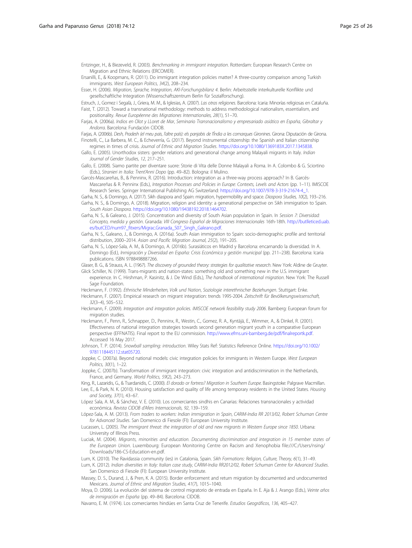<span id="page-24-0"></span>Entzinger, H., & Biezeveld, R. (2003). Benchmarking in immigrant integration. Rotterdam: European Research Centre on Migration and Ethnic Relations (ERCOMER).

Ersanilli, E., & Koopmans, R. (2011). Do immigrant integration policies matter? A three-country comparison among Turkish immigrants. West European Politics, 34(2), 208–234.

Esser, H. (2006). Migration, Sprache, Integration, AKI-Forschungsbilanz 4. Berlin: Arbeitsstelle interkulturelle Konflikte und gesellschaftliche Integration (Wissenschaftszentrum Berlin für Sozialforschung).

- Estruch, J., Gomez i Segalà, J., Griera, M. M., & Iglesias, A. (2007). Las otras religiones. Barcelona: Icaria: Minorías religiosas en Cataluña. Faist, T. (2012). Toward a transnational methodology: methods to address methodological nationalism, essentialism, and positionality. Revue Européenne des Migrationes Internationales, 28(1), 51–70.
- Farjas, A. (2006a). Indios en Olot y LLoret de Mar, Seminario Transnacionalismo y empresariado asiático en España, Gibraltar y Andorra. Barcelona: Fundación CIDOB.
- Farjas, A. (2006b). Desh, Pradesh (el meu pais, l'altre país): els panjabis de l'Índia a les comarques Gironines. Girona: Diputación de Girona. Finotelli, C., La Barbera, M. C., & Echeverría, G. (2017). Beyond instrumental citizenship: the Spanish and Italian citizenship
- regimes in times of crisis. Journal of Ethnic and Migration Studies. <https://doi.org/10.1080/1369183X.2017.1345838>. Gallo, E. (2005). Unorthodox sisters: gender relations and generational change among Malayali migrants in Italy. Indian
- Journal of Gender Studies, 12, 217–251. Gallo, E. (2008). Siamo partite per diventare suore: Storie di Vita delle Donne Malayali a Roma. In A. Colombo & G. Sciortino (Eds.), Stranieri in Italia: Trent'Anni Dopo (pp. 49–82). Bologna: il Mulino.
- Garcés-Mascareñas, B., & Penninx, R. (2016). Introduction: integration as a three-way process approach? In B. Garcés-Mascareñas & R. Penninx (Eds.), Integration Processes and Policies in Europe: Contexts, Levels and Actors (pp. 1–11). IMISCOE Research Series. Springer International Publishing AG Switzerland: [https://doi.org/10.1007/978-3-319-21674-4\\_1.](https://doi.org/10.1007/978-3-319-21674-4_1)

Garha, N. S., & Domingo, A. (2017). Sikh diaspora and Spain: migration, hypermobility and space. Diaspora Studies, 10(2), 193–216. Garha, N. S., & Domingo, A. (2018). Migration, religion and identity: a generational perspective on Sikh immigration to Spain. South Asian Diaspora. <https://doi.org/10.1080/19438192.2018.1464702>.

- Garha, N. S., & Galeano, J. (2015). Concentration and diversity of South Asian population in Spain. In Session 7: Diversidad: Concepto, medida y gestión. Granada: VIII Congreso Español de Migraciones Internacionales 16th-18th. [http://butlleticed.uab.](http://butlleticed.uab.es/butCED/num97_fitxers/Migrac.Granada_S07_Singh_Galeano.pdf) [es/butCED/num97\\_fitxers/Migrac.Granada\\_S07\\_Singh\\_Galeano.pdf.](http://butlleticed.uab.es/butCED/num97_fitxers/Migrac.Granada_S07_Singh_Galeano.pdf)
- Garha, N. S., Galeano, J., & Domingo, A. (2016a). South Asian immigration to Spain: socio-demographic profile and territorial distribution, 2000–2014. Asian and Pacific Migration Journal, 25(2), 191–205.
- Garha, N. S., López-Sala, A. M., & Domingo, A. (2016b). Surasiáticos en Madrid y Barcelona: encarnando la diversidad. In A. Domingo (Ed.), Inmigración y Diversidad en España: Crisis Económica y gestión municipal (pp. 211–238). Barcelona: Icaria publications. ISBN 9788498887266.

Glaser, B. G., & Strauss, A. L. (1967). The discovery of grounded theory: strategies for qualitative research. New York: Aldine de Gruyter.

Glick Schiller, N. (1999). Trans-migrants and nation-states: something old and something new in the U.S. immigrant experience. In C. Hirshman, P. Kasinitz, & J. De Wind (Eds.), The handbook of international migration. New York: The Russell Sage Foundation.

Heckmann, F. (1992). Ethnische Minderheiten, Volk und Nation, Soziologie interethnischer Beziehungen. Stuttgart: Enke.

- Heckmann, F. (2007). Empirical research on migrant integration: trends 1995-2004. Zeitschrift für Bevölkerungswissenschaft 32(3–4), 505–532.
- Heckmann, F. (2009). Integration and integration policies. IMISCOE network feasibility study 2006. Bamberg: European forum for migration studies.
- Heckmann, F., Penn, R., Schnapper, D., Penninx, R., Westin, C., Gomez, R. A., Kyntäjä, E., Wimmer, A., & Dinkel, R. (2001). Effectiveness of national integration strategies towards second generation migrant youth in a comparative European perspective (EFFNATIS). Final report to the EU commission. [http://www.efms.uni-bamberg.de/pdf/finalreportk.pdf.](http://www.efms.uni-bamberg.de/pdf/finalreportk.pdf) Accessed 16 May 2017.
- Johnson, T. P. (2014). Snowball sampling: introduction. Wiley Stats Ref: Statistics Reference Online. [https://doi.org/10.1002/](https://doi.org/10.1002/9781118445112.stat05720) [9781118445112.stat05720](https://doi.org/10.1002/9781118445112.stat05720).
- Joppke, C. (2007a). Beyond national models: civic integration policies for immigrants in Western Europe. West European Politics, 30(1), 1–22.
- Joppke, C. (2007b). Transformation of immigrant integration: civic integration and antidiscrimination in the Netherlands, France, and Germany. World Politics, 59(2), 243–273.
- King, R., Lazaridis, G., & Tsardanidis, C. (2000). El dorado or fortress? Migration in Southern Europe. Basingstoke: Palgrave Macmillan. Lee, E., & Park, N. K. (2010). Housing satisfaction and quality of life among temporary residents in the United States. Housing and Society, 37(1), 43–67.
- López Sala, A. M., & Sánchez, V. E. (2010). Los comerciantes sindhis en Canarias: Relaciones transnacionales y actividad económica. Revista CIDOB d'Afers Internacionals, 92, 139–159.
- López-Sala, A. M. (2013). From traders to workers: Indian immigration in Spain, CARIM-India RR 2013/02, Robert Schuman Centre for Advanced Studies. San Domenico di Fiesole (FI): European University Institute.
- Lucassen, L. (2005). The immigrant threat: the integration of old and new migrants in Western Europe since 1850. Urbana: University of Illinois Press.
- Luciak, M. (2004). Migrants, minorities and education. Documenting discrimination and integration in 15 member states of the European Union. Luxembourg: European Monitoring Centre on Racism and Xenophobia file:///C:/Users/nsing/ Downloads/186-CS-Education-en.pdf.
- Lum, K. (2010). The Ravidassia community (ies) in Catalonia, Spain. Sikh Formations: Religion, Culture, Theory, 6(1), 31-49.
- Lum, K. (2012). Indian diversities in Italy: Italian case study, CARIM-India RR2012/02, Robert Schuman Centre for Advanced Studies. San Domenico di Fiesole (FI): European University Institute.
- Massey, D. S., Durand, J., & Pren, K. A. (2015). Border enforcement and return migration by documented and undocumented Mexicans. Journal of Ethnic and Migration Studies, 41(7), 1015–1040.
- Moya, D. (2006). La evolución del sistema de control migratorio de entrada en España. In E. Aja & J. Arango (Eds.), Veinte años de inmigración en España (pp. 49–84). Barcelona: CIDOB.
- Navarro, E. M. (1974). Los comerciantes hindúes en Santa Cruz de Tenerife. Estudios Geográficos, 136, 405–427.